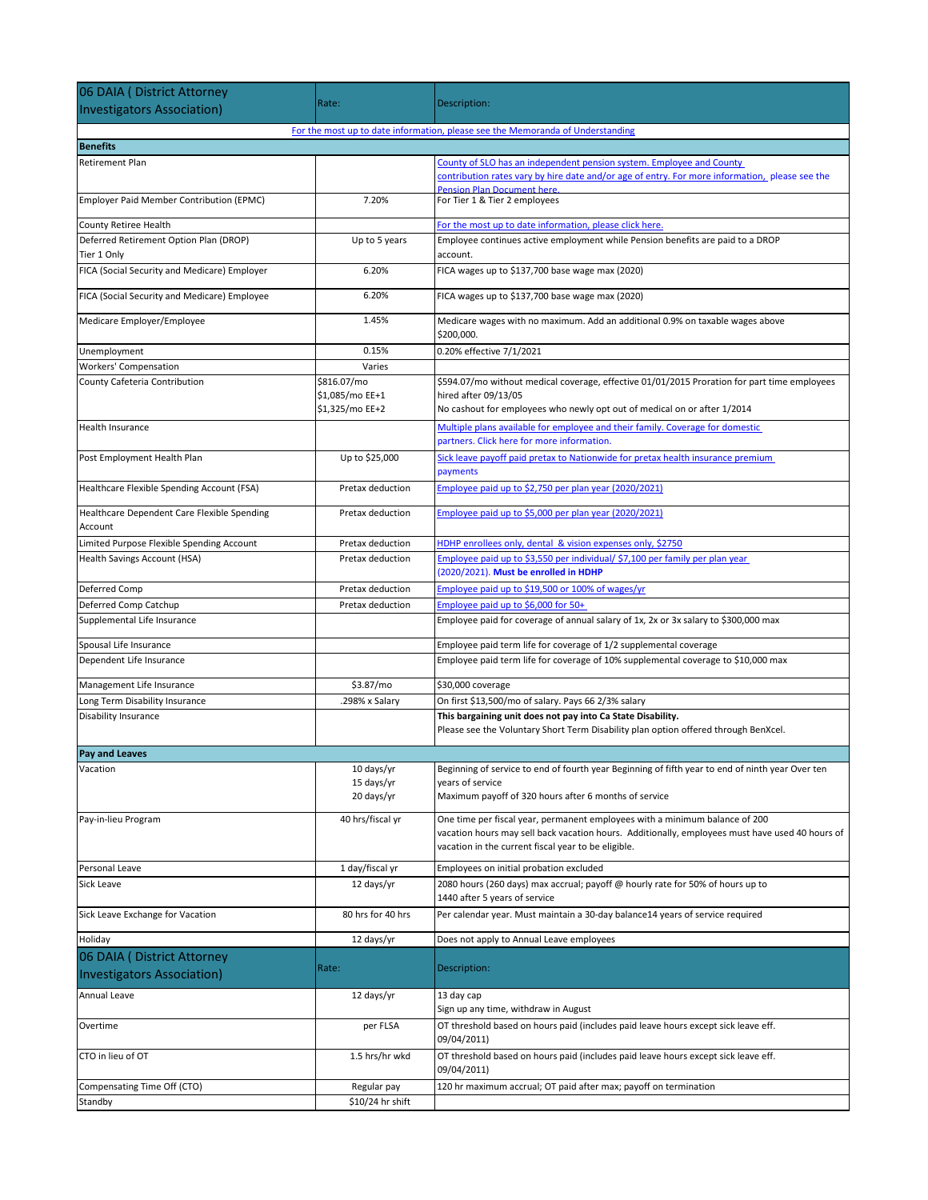| 06 DAIA ( District Attorney                                     |                                                   |                                                                                                                                                                                                                                       |
|-----------------------------------------------------------------|---------------------------------------------------|---------------------------------------------------------------------------------------------------------------------------------------------------------------------------------------------------------------------------------------|
| <b>Investigators Association)</b>                               | Rate:                                             | Description:                                                                                                                                                                                                                          |
|                                                                 |                                                   | For the most up to date information, please see the Memoranda of Understanding                                                                                                                                                        |
| <b>Benefits</b>                                                 |                                                   |                                                                                                                                                                                                                                       |
| Retirement Plan                                                 |                                                   | County of SLO has an independent pension system. Employee and County<br>contribution rates vary by hire date and/or age of entry. For more information, please see the                                                                |
| Employer Paid Member Contribution (EPMC)                        | 7.20%                                             | <b>Pension Plan Document here.</b><br>For Tier 1 & Tier 2 employees                                                                                                                                                                   |
| County Retiree Health                                           |                                                   | For the most up to date information, please click here.                                                                                                                                                                               |
| Deferred Retirement Option Plan (DROP)<br>Tier 1 Only           | Up to 5 years                                     | Employee continues active employment while Pension benefits are paid to a DROP<br>account.                                                                                                                                            |
| FICA (Social Security and Medicare) Employer                    | 6.20%                                             | FICA wages up to \$137,700 base wage max (2020)                                                                                                                                                                                       |
| FICA (Social Security and Medicare) Employee                    | 6.20%                                             | FICA wages up to \$137,700 base wage max (2020)                                                                                                                                                                                       |
| Medicare Employer/Employee                                      | 1.45%                                             | Medicare wages with no maximum. Add an additional 0.9% on taxable wages above<br>\$200,000.                                                                                                                                           |
| Unemployment                                                    | 0.15%                                             | 0.20% effective 7/1/2021                                                                                                                                                                                                              |
| Workers' Compensation                                           | Varies                                            |                                                                                                                                                                                                                                       |
| County Cafeteria Contribution                                   | \$816.07/mo<br>\$1,085/mo EE+1<br>\$1,325/mo EE+2 | \$594.07/mo without medical coverage, effective 01/01/2015 Proration for part time employees<br>hired after 09/13/05<br>No cashout for employees who newly opt out of medical on or after 1/2014                                      |
| <b>Health Insurance</b>                                         |                                                   | Multiple plans available for employee and their family. Coverage for domestic<br>partners. Click here for more information.                                                                                                           |
| Post Employment Health Plan                                     | Up to \$25,000                                    | Sick leave payoff paid pretax to Nationwide for pretax health insurance premium<br>payments                                                                                                                                           |
| Healthcare Flexible Spending Account (FSA)                      | Pretax deduction                                  | Employee paid up to \$2,750 per plan year (2020/2021)                                                                                                                                                                                 |
| Healthcare Dependent Care Flexible Spending<br>Account          | Pretax deduction                                  | Employee paid up to \$5,000 per plan year (2020/2021)                                                                                                                                                                                 |
| Limited Purpose Flexible Spending Account                       | Pretax deduction                                  | HDHP enrollees only, dental & vision expenses only, \$2750                                                                                                                                                                            |
| Health Savings Account (HSA)                                    | Pretax deduction                                  | Employee paid up to \$3,550 per individual/ \$7,100 per family per plan year<br>(2020/2021). Must be enrolled in HDHP                                                                                                                 |
| Deferred Comp                                                   | Pretax deduction                                  | Employee paid up to \$19,500 or 100% of wages/yr                                                                                                                                                                                      |
| Deferred Comp Catchup                                           | Pretax deduction                                  | Employee paid up to \$6,000 for 50+                                                                                                                                                                                                   |
| Supplemental Life Insurance                                     |                                                   | Employee paid for coverage of annual salary of 1x, 2x or 3x salary to \$300,000 max                                                                                                                                                   |
| Spousal Life Insurance                                          |                                                   | Employee paid term life for coverage of 1/2 supplemental coverage                                                                                                                                                                     |
| Dependent Life Insurance                                        |                                                   | Employee paid term life for coverage of 10% supplemental coverage to \$10,000 max                                                                                                                                                     |
| Management Life Insurance                                       | \$3.87/mo                                         | \$30,000 coverage                                                                                                                                                                                                                     |
| Long Term Disability Insurance                                  | .298% x Salary                                    | On first \$13,500/mo of salary. Pays 66 2/3% salary                                                                                                                                                                                   |
| <b>Disability Insurance</b>                                     |                                                   | This bargaining unit does not pay into Ca State Disability.<br>Please see the Voluntary Short Term Disability plan option offered through BenXcel.                                                                                    |
| <b>Pay and Leaves</b>                                           |                                                   |                                                                                                                                                                                                                                       |
| Vacation                                                        | 10 days/yr<br>15 days/yr<br>20 days/yr            | Beginning of service to end of fourth year Beginning of fifth year to end of ninth year Over ten<br>years of service<br>Maximum payoff of 320 hours after 6 months of service                                                         |
| Pay-in-lieu Program                                             | 40 hrs/fiscal yr                                  | One time per fiscal year, permanent employees with a minimum balance of 200<br>vacation hours may sell back vacation hours. Additionally, employees must have used 40 hours of<br>vacation in the current fiscal year to be eligible. |
| Personal Leave                                                  | 1 day/fiscal yr                                   | Employees on initial probation excluded                                                                                                                                                                                               |
| Sick Leave                                                      | 12 days/yr                                        | 2080 hours (260 days) max accrual; payoff @ hourly rate for 50% of hours up to<br>1440 after 5 years of service                                                                                                                       |
| Sick Leave Exchange for Vacation                                | 80 hrs for 40 hrs                                 | Per calendar year. Must maintain a 30-day balance14 years of service required                                                                                                                                                         |
| Holiday                                                         | 12 days/yr                                        | Does not apply to Annual Leave employees                                                                                                                                                                                              |
| 06 DAIA (District Attorney<br><b>Investigators Association)</b> | Rate:                                             | Description:                                                                                                                                                                                                                          |
| Annual Leave                                                    | 12 days/yr                                        | 13 day cap<br>Sign up any time, withdraw in August                                                                                                                                                                                    |
| Overtime                                                        | per FLSA                                          | OT threshold based on hours paid (includes paid leave hours except sick leave eff.<br>09/04/2011)                                                                                                                                     |
| CTO in lieu of OT                                               | 1.5 hrs/hr wkd                                    | OT threshold based on hours paid (includes paid leave hours except sick leave eff.<br>09/04/2011)                                                                                                                                     |
| Compensating Time Off (CTO)<br>Standby                          | Regular pay<br>\$10/24 hr shift                   | 120 hr maximum accrual; OT paid after max; payoff on termination                                                                                                                                                                      |
|                                                                 |                                                   |                                                                                                                                                                                                                                       |